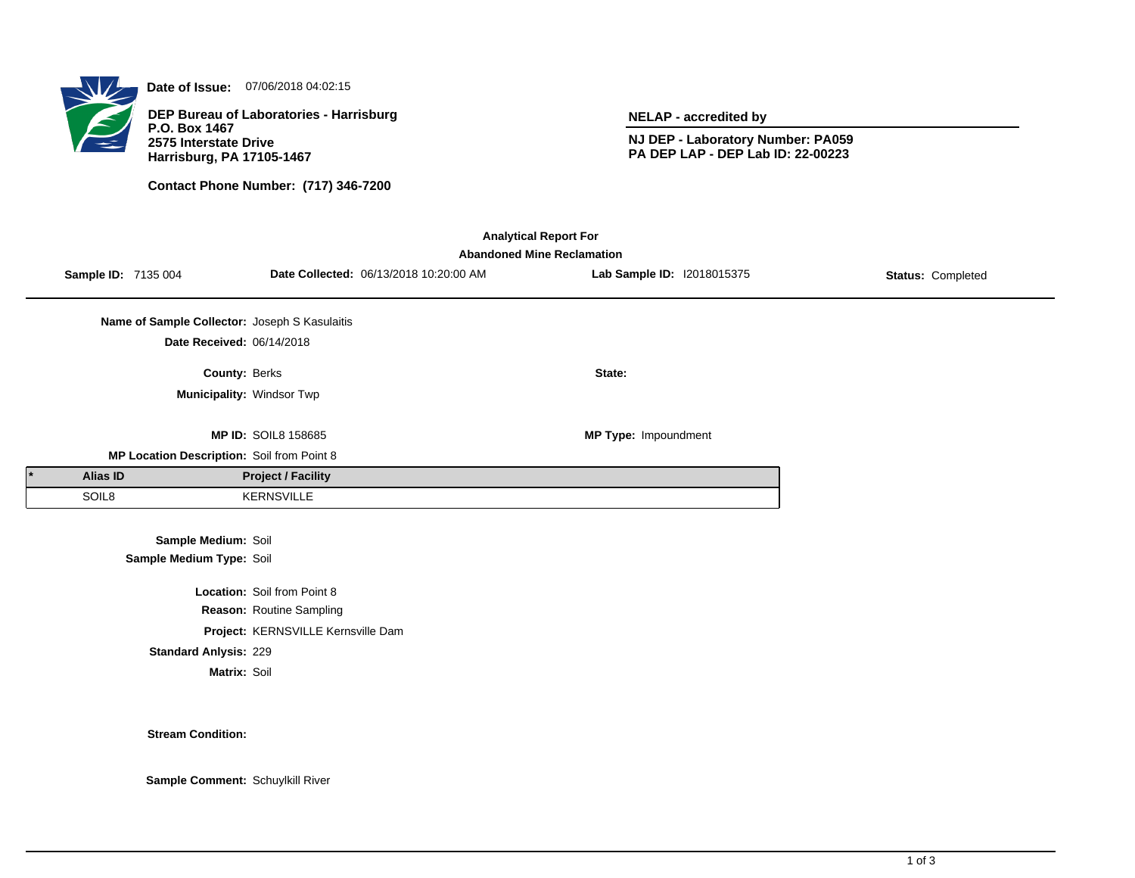

**Date of Issue:** 07/06/2018 04:02:15

**DEP Bureau of Laboratories - Harrisburg P.O. Box 1467 2575 Interstate Drive Harrisburg, PA 17105-1467**

**Contact Phone Number: (717) 346-7200**

**NELAP - accredited by**

**NJ DEP - Laboratory Number: PA059 PA DEP LAP - DEP Lab ID: 22-00223**

| <b>Analytical Report For</b><br><b>Abandoned Mine Reclamation</b> |                                               |                                    |                                        |                            |                   |  |  |  |  |
|-------------------------------------------------------------------|-----------------------------------------------|------------------------------------|----------------------------------------|----------------------------|-------------------|--|--|--|--|
|                                                                   | Sample ID: 7135 004                           |                                    | Date Collected: 06/13/2018 10:20:00 AM | Lab Sample ID: 12018015375 | Status: Completed |  |  |  |  |
|                                                                   |                                               |                                    |                                        |                            |                   |  |  |  |  |
|                                                                   | Name of Sample Collector: Joseph S Kasulaitis |                                    |                                        |                            |                   |  |  |  |  |
|                                                                   | Date Received: 06/14/2018                     |                                    |                                        |                            |                   |  |  |  |  |
|                                                                   | County: Berks                                 |                                    |                                        | State:                     |                   |  |  |  |  |
|                                                                   |                                               | Municipality: Windsor Twp          |                                        |                            |                   |  |  |  |  |
|                                                                   |                                               |                                    |                                        |                            |                   |  |  |  |  |
|                                                                   |                                               | <b>MP ID: SOIL8 158685</b>         |                                        | MP Type: Impoundment       |                   |  |  |  |  |
|                                                                   | MP Location Description: Soil from Point 8    |                                    |                                        |                            |                   |  |  |  |  |
| <b>Alias ID</b>                                                   |                                               | <b>Project / Facility</b>          |                                        |                            |                   |  |  |  |  |
| SOIL8                                                             |                                               | <b>KERNSVILLE</b>                  |                                        |                            |                   |  |  |  |  |
|                                                                   |                                               |                                    |                                        |                            |                   |  |  |  |  |
| Sample Medium: Soil                                               |                                               |                                    |                                        |                            |                   |  |  |  |  |
|                                                                   | Sample Medium Type: Soil                      |                                    |                                        |                            |                   |  |  |  |  |
|                                                                   |                                               | <b>Location: Soil from Point 8</b> |                                        |                            |                   |  |  |  |  |
|                                                                   |                                               | Reason: Routine Sampling           |                                        |                            |                   |  |  |  |  |
|                                                                   |                                               | Project: KERNSVILLE Kernsville Dam |                                        |                            |                   |  |  |  |  |
|                                                                   | <b>Standard Anlysis: 229</b>                  |                                    |                                        |                            |                   |  |  |  |  |
|                                                                   | Matrix: Soil                                  |                                    |                                        |                            |                   |  |  |  |  |
|                                                                   |                                               |                                    |                                        |                            |                   |  |  |  |  |

**Stream Condition:**

**Sample Comment:** Schuylkill River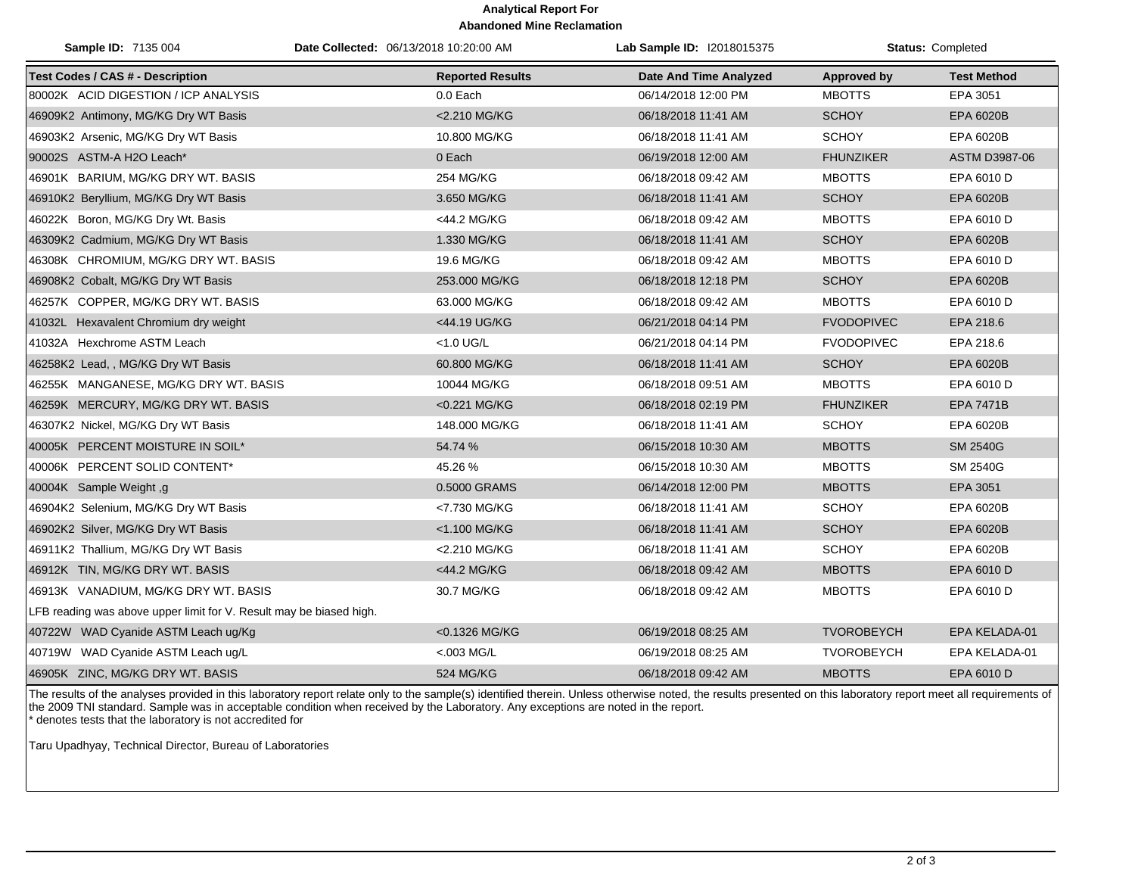## **Analytical Report For Abandoned Mine Reclamation**

| Sample ID: 7135 004                                                 | Date Collected: 06/13/2018 10:20:00 AM | Lab Sample ID: I2018015375    |                    | <b>Status: Completed</b> |
|---------------------------------------------------------------------|----------------------------------------|-------------------------------|--------------------|--------------------------|
| <b>Test Codes / CAS # - Description</b>                             | <b>Reported Results</b>                | <b>Date And Time Analyzed</b> | <b>Approved by</b> | <b>Test Method</b>       |
| 80002K ACID DIGESTION / ICP ANALYSIS                                | 0.0 Each                               | 06/14/2018 12:00 PM           | <b>MBOTTS</b>      | EPA 3051                 |
| 46909K2 Antimony, MG/KG Dry WT Basis                                | <2.210 MG/KG                           | 06/18/2018 11:41 AM           | <b>SCHOY</b>       | EPA 6020B                |
| 46903K2 Arsenic, MG/KG Dry WT Basis                                 | 10.800 MG/KG                           | 06/18/2018 11:41 AM           | <b>SCHOY</b>       | EPA 6020B                |
| 90002S ASTM-A H2O Leach*                                            | 0 Each                                 | 06/19/2018 12:00 AM           | <b>FHUNZIKER</b>   | ASTM D3987-06            |
| 46901K BARIUM, MG/KG DRY WT. BASIS                                  | 254 MG/KG                              | 06/18/2018 09:42 AM           | <b>MBOTTS</b>      | EPA 6010 D               |
| 46910K2 Beryllium, MG/KG Dry WT Basis                               | 3.650 MG/KG                            | 06/18/2018 11:41 AM           | <b>SCHOY</b>       | EPA 6020B                |
| 46022K Boron, MG/KG Dry Wt. Basis                                   | <44.2 MG/KG                            | 06/18/2018 09:42 AM           | <b>MBOTTS</b>      | EPA 6010 D               |
| 46309K2 Cadmium, MG/KG Dry WT Basis                                 | 1.330 MG/KG                            | 06/18/2018 11:41 AM           | <b>SCHOY</b>       | EPA 6020B                |
| 46308K CHROMIUM, MG/KG DRY WT. BASIS                                | 19.6 MG/KG                             | 06/18/2018 09:42 AM           | <b>MBOTTS</b>      | EPA 6010 D               |
| 46908K2 Cobalt, MG/KG Dry WT Basis                                  | 253.000 MG/KG                          | 06/18/2018 12:18 PM           | <b>SCHOY</b>       | EPA 6020B                |
| 46257K COPPER, MG/KG DRY WT. BASIS                                  | 63.000 MG/KG                           | 06/18/2018 09:42 AM           | <b>MBOTTS</b>      | EPA 6010 D               |
| 41032L Hexavalent Chromium dry weight                               | <44.19 UG/KG                           | 06/21/2018 04:14 PM           | <b>FVODOPIVEC</b>  | EPA 218.6                |
| 41032A Hexchrome ASTM Leach                                         | $<$ 1.0 UG/L                           | 06/21/2018 04:14 PM           | <b>FVODOPIVEC</b>  | EPA 218.6                |
| 46258K2 Lead, , MG/KG Dry WT Basis                                  | 60.800 MG/KG                           | 06/18/2018 11:41 AM           | <b>SCHOY</b>       | <b>EPA 6020B</b>         |
| 46255K MANGANESE, MG/KG DRY WT. BASIS                               | 10044 MG/KG                            | 06/18/2018 09:51 AM           | <b>MBOTTS</b>      | EPA 6010 D               |
| 46259K MERCURY, MG/KG DRY WT. BASIS                                 | <0.221 MG/KG                           | 06/18/2018 02:19 PM           | <b>FHUNZIKER</b>   | <b>EPA 7471B</b>         |
| 46307K2 Nickel, MG/KG Dry WT Basis                                  | 148.000 MG/KG                          | 06/18/2018 11:41 AM           | <b>SCHOY</b>       | EPA 6020B                |
| 40005K PERCENT MOISTURE IN SOIL*                                    | 54.74 %                                | 06/15/2018 10:30 AM           | <b>MBOTTS</b>      | <b>SM 2540G</b>          |
| 40006K PERCENT SOLID CONTENT*                                       | 45.26 %                                | 06/15/2018 10:30 AM           | <b>MBOTTS</b>      | SM 2540G                 |
| 40004K Sample Weight, g                                             | 0.5000 GRAMS                           | 06/14/2018 12:00 PM           | <b>MBOTTS</b>      | EPA 3051                 |
| 46904K2 Selenium, MG/KG Dry WT Basis                                | <7.730 MG/KG                           | 06/18/2018 11:41 AM           | <b>SCHOY</b>       | EPA 6020B                |
| 46902K2 Silver, MG/KG Dry WT Basis                                  | <1.100 MG/KG                           | 06/18/2018 11:41 AM           | <b>SCHOY</b>       | EPA 6020B                |
| 46911K2 Thallium, MG/KG Dry WT Basis                                | <2.210 MG/KG                           | 06/18/2018 11:41 AM           | <b>SCHOY</b>       | EPA 6020B                |
| 46912K TIN, MG/KG DRY WT. BASIS                                     | <44.2 MG/KG                            | 06/18/2018 09:42 AM           | <b>MBOTTS</b>      | EPA 6010 D               |
| 46913K VANADIUM, MG/KG DRY WT. BASIS                                | 30.7 MG/KG                             | 06/18/2018 09:42 AM           | <b>MBOTTS</b>      | EPA 6010 D               |
| LFB reading was above upper limit for V. Result may be biased high. |                                        |                               |                    |                          |
| 40722W WAD Cyanide ASTM Leach ug/Kg                                 | <0.1326 MG/KG                          | 06/19/2018 08:25 AM           | <b>TVOROBEYCH</b>  | EPA KELADA-01            |
| 40719W WAD Cyanide ASTM Leach ug/L                                  | $< 003$ MG/L                           | 06/19/2018 08:25 AM           | <b>TVOROBEYCH</b>  | EPA KELADA-01            |
| 46905K ZINC, MG/KG DRY WT. BASIS                                    | <b>524 MG/KG</b>                       | 06/18/2018 09:42 AM           | <b>MBOTTS</b>      | EPA 6010 D               |

The results of the analyses provided in this laboratory report relate only to the sample(s) identified therein. Unless otherwise noted, the results presented on this laboratory report meet all requirements of the 2009 TNI standard. Sample was in acceptable condition when received by the Laboratory. Any exceptions are noted in the report. \* denotes tests that the laboratory is not accredited for

Taru Upadhyay, Technical Director, Bureau of Laboratories